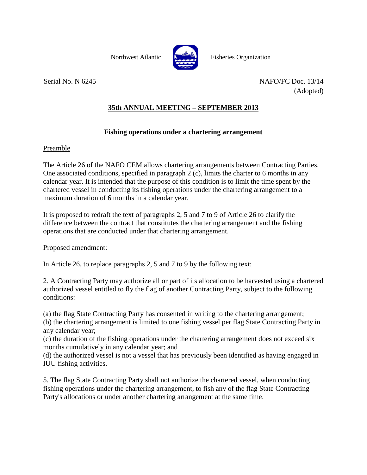

Northwest Atlantic Fisheries Organization

Serial No. N 6245 NAFO/FC Doc. 13/14 (Adopted)

## **35th ANNUAL MEETING – SEPTEMBER 2013**

## **Fishing operations under a chartering arrangement**

## Preamble

The Article 26 of the NAFO CEM allows chartering arrangements between Contracting Parties. One associated conditions, specified in paragraph 2 (c), limits the charter to 6 months in any calendar year. It is intended that the purpose of this condition is to limit the time spent by the chartered vessel in conducting its fishing operations under the chartering arrangement to a maximum duration of 6 months in a calendar year.

It is proposed to redraft the text of paragraphs 2, 5 and 7 to 9 of Article 26 to clarify the difference between the contract that constitutes the chartering arrangement and the fishing operations that are conducted under that chartering arrangement.

## Proposed amendment:

In Article 26, to replace paragraphs 2, 5 and 7 to 9 by the following text:

2. A Contracting Party may authorize all or part of its allocation to be harvested using a chartered authorized vessel entitled to fly the flag of another Contracting Party, subject to the following conditions:

(a) the flag State Contracting Party has consented in writing to the chartering arrangement;

(b) the chartering arrangement is limited to one fishing vessel per flag State Contracting Party in any calendar year;

(c) the duration of the fishing operations under the chartering arrangement does not exceed six months cumulatively in any calendar year; and

(d) the authorized vessel is not a vessel that has previously been identified as having engaged in IUU fishing activities.

5. The flag State Contracting Party shall not authorize the chartered vessel, when conducting fishing operations under the chartering arrangement, to fish any of the flag State Contracting Party's allocations or under another chartering arrangement at the same time.